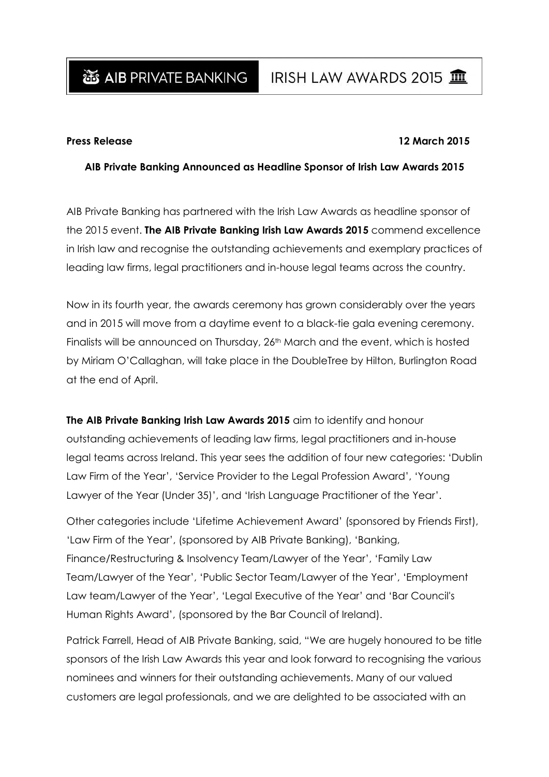### **Press Release 12 March 2015**

## **AIB Private Banking Announced as Headline Sponsor of Irish Law Awards 2015**

AIB Private Banking has partnered with the Irish Law Awards as headline sponsor of the 2015 event. **The AIB Private Banking Irish Law Awards 2015** commend excellence in Irish law and recognise the outstanding achievements and exemplary practices of leading law firms, legal practitioners and in-house legal teams across the country.

Now in its fourth year, the awards ceremony has grown considerably over the years and in 2015 will move from a daytime event to a black-tie gala evening ceremony. Finalists will be announced on Thursday, 26<sup>th</sup> March and the event, which is hosted by Miriam O'Callaghan, will take place in the DoubleTree by Hilton, Burlington Road at the end of April.

**The AIB Private Banking Irish Law Awards 2015** aim to identify and honour outstanding achievements of leading law firms, legal practitioners and in-house legal teams across Ireland. This year sees the addition of four new categories: 'Dublin Law Firm of the Year', 'Service Provider to the Legal Profession Award', 'Young Lawyer of the Year (Under 35)', and 'Irish Language Practitioner of the Year'.

Other categories include ['Lifetime Achievement Award'](http://www.irishlawawards.ie/categories/) (sponsored by Friends First), 'Law Firm of the Year', [\(sponsored by AIB Private Banking\)](http://www.irishlawawards.ie/categories/), '[Banking,](http://www.irishlawawards.ie/categories/)  [Finance/Restructuring & Insolvency Team/Lawyer of the Year](http://www.irishlawawards.ie/categories/)', '[Family Law](http://www.irishlawawards.ie/categories/)  [Team/Lawyer of the Year](http://www.irishlawawards.ie/categories/)', '[Public Sector Team/Lawyer of the Year](http://www.irishlawawards.ie/categories/)', '[Employment](http://www.irishlawawards.ie/categories/)  [Law team/Lawyer of the Year](http://www.irishlawawards.ie/categories/)', '[Legal Executive of the Year](http://www.irishlawawards.ie/categories/)' and '[Bar Council's](http://www.irishlawawards.ie/categories/)  Human Rights Award', [\(sponsored by the Bar Council](http://www.irishlawawards.ie/categories/) of Ireland).

Patrick Farrell, Head of AIB Private Banking, said, "We are hugely honoured to be title sponsors of the Irish Law Awards this year and look forward to recognising the various nominees and winners for their outstanding achievements. Many of our valued customers are legal professionals, and we are delighted to be associated with an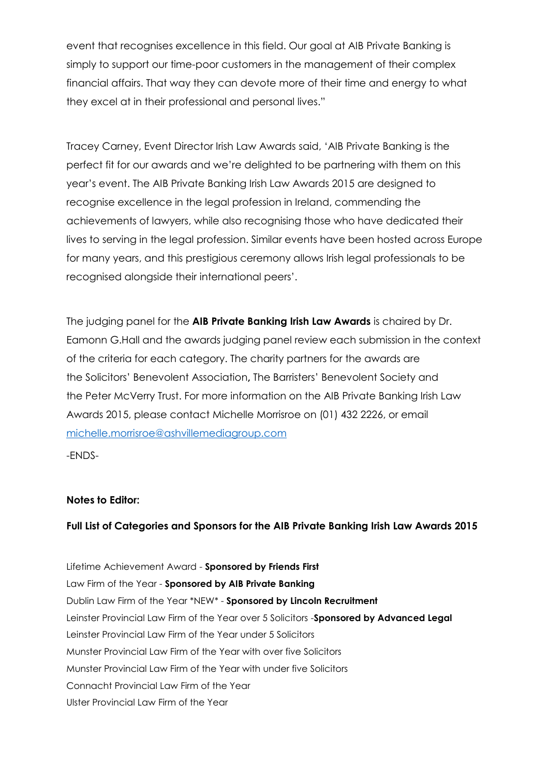event that recognises excellence in this field. Our goal at AIB Private Banking is simply to support our time-poor customers in the management of their complex financial affairs. That way they can devote more of their time and energy to what they excel at in their professional and personal lives."

Tracey Carney, Event Director Irish Law Awards said, 'AIB Private Banking is the perfect fit for our awards and we're delighted to be partnering with them on this year's event. The AIB Private Banking Irish Law Awards 2015 are designed to recognise excellence in the legal profession in Ireland, commending the achievements of lawyers, while also recognising those who have dedicated their lives to serving in the legal profession. Similar events have been hosted across Europe for many years, and this prestigious ceremony allows Irish legal professionals to be recognised alongside their international peers'.

The judging panel for the **AIB Private Banking Irish Law Awards** is chaired by Dr. Eamonn G.Hall and the awards judging panel review each submission in the context of the criteria for each category. The charity partners for the awards are the Solicitors' Benevolent Association**,** The Barristers' Benevolent Society and the Peter McVerry Trust. For more information on the AIB Private Banking Irish Law Awards 2015, please contact Michelle Morrisroe on (01) 432 2226, or email michelle.morrisroe@ashvillemediagroup.com

-ENDS-

# **Notes to Editor:**

# **Full List of Categories and Sponsors for the AIB Private Banking Irish Law Awards 2015**

[Lifetime Achievement Award -](http://www.irishlawawards.ie/categories/) **Sponsored by Friends First** Law Firm of the Year - **[Sponsored by AIB Private Banking](http://www.irishlawawards.ie/categories/)** [Dublin Law Firm of the Year](http://www.irishlawawards.ie/categories/) \*NEW\* - **Sponsored by Lincoln Recruitment** [Leinster Provincial Law Firm of the Year over 5 Solicitors -](http://www.irishlawawards.ie/categories/)**Sponsored by Advanced Legal** [Leinster Provincial Law Firm of the Year under 5 Solicitors](http://www.irishlawawards.ie/categories/) [Munster Provincial Law Firm of the Year with over five Solicitors](http://www.irishlawawards.ie/categories/) [Munster Provincial Law Firm of the Year with under five Solicitors](http://www.irishlawawards.ie/categories/) [Connacht Provincial Law Firm of the Year](http://www.irishlawawards.ie/categories/) [Ulster Provincial Law Firm of the Year](http://www.irishlawawards.ie/categories/)